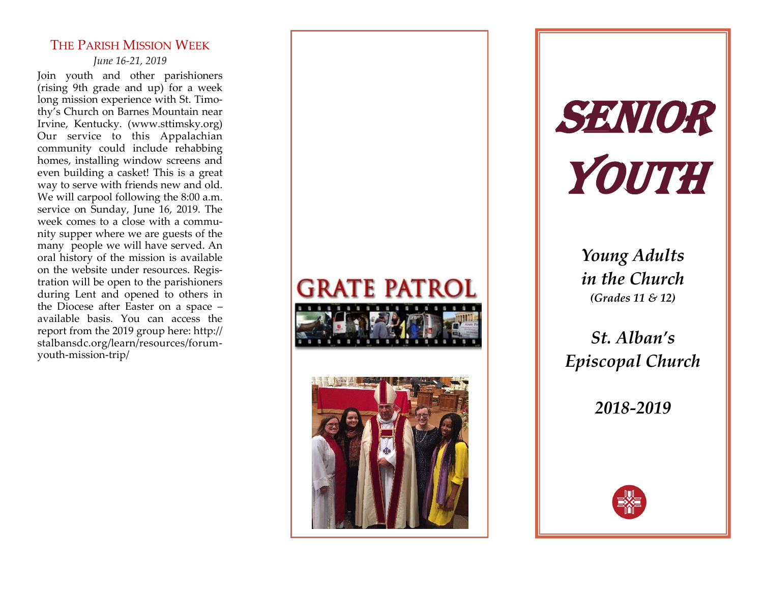# THE PARISH MISSION WEEK

*June 16 -21, 2019*

Join youth and other parishioners (rising 9th grade and up) for a week long mission experience with St. Timothy's Church on Barnes Mountain near Irvine, Kentucky. (www.sttimsky.org) Our service to this Appalachian community could include rehabbing homes, installing window screens and even building a casket! This is a great way to serve with friends new and old. We will carpool following the 8:00 a.m. service on Sunday, June 16, 2019. The week comes to a close with a community supper where we are guests of the many people we will have served. An oral history of the mission is available on the website under resources. Registration will be open to the parishioners during Lent and opened to others in the Diocese after Easter on a space – available basis. You can access the report from the 2019 group here: http:// stalbansdc.org/learn/resources/forum youth -mission -trip/





Senior YOUTH

> *Young Adults in the Church (Grades 11 & 12)*

*St. Alban's Episcopal Church*

*2018 -2019*